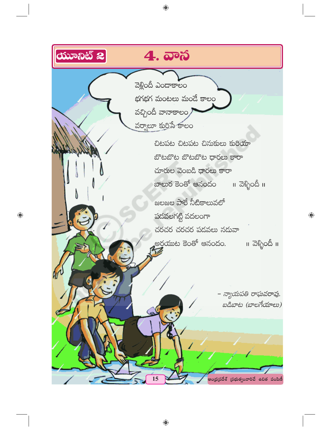

◈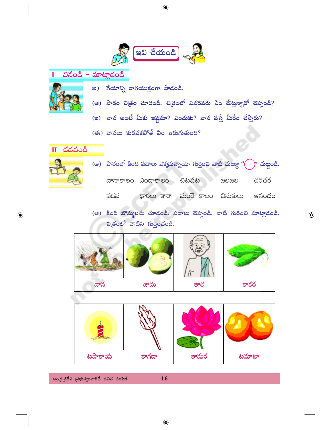

వినండి - మాట్లాడండి I



- అ) గేయాన్ని రాగయుక్తంగా పాడండి.
- (ఆ) పాఠం చిత్రం చూడండి. చిత్రంలో ఎవరెవరు ఏం చేస్తున్నారో చెప్పండి?
- (ఇ) వాన అంటే మీకు ఇష్టమా? ఎందుకు? వాన వస్తే మీరేం చేస్తారు?
- (ఈ) వానలు కురవకపోతే ఏం జరుగుతుంది?

 $\overline{\mathbf{H}}$  చదవండి

 $\bigoplus$ 

(అ) పాఠంలో కింది పదాలు ఎక్కదున్నాయో గుర్తించి వాటి చుట్టూ "( )" చుట్టండి.

వానాకాలం ఎండాకాలం చిటపట చరచర ಜಲಜಲ ధారలు కారా మండే కాలం చినుకులు పడవ అనందం

(ఆ) కింది బొమ్మలను చూదండి. పదాలు చెప్పండి. వాటి గురించి మాట్లాదండి. ඩුඡුංలో వాటిని గుర్తించండి.

 $\bigoplus$ 

| వాన | జామ | తాత | కాకర |
|-----|-----|-----|------|



ఆంధ్రప్రదేశ్ (పభుత్వంవారిచే ఉచిత పంపిణీ

16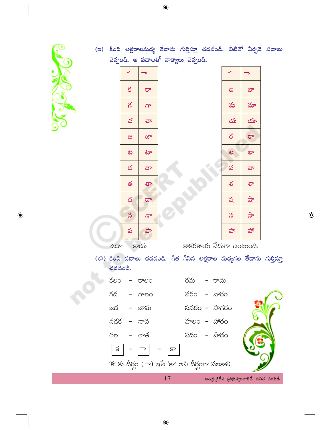

 $\bigoplus$ 

◈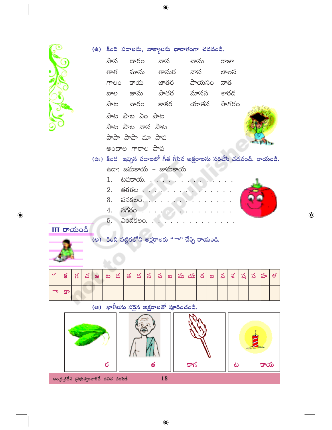|                                                                                                                                                                                                                                                                                                                                        |                                              |  |  |  |  |                          |  |  |                  |                       |                         | (ఉ) కింది పదాలను, వాక్యాలను ధారాకంగా చదవండి.                       |  |  |   |  |  |  |  |  |  |
|----------------------------------------------------------------------------------------------------------------------------------------------------------------------------------------------------------------------------------------------------------------------------------------------------------------------------------------|----------------------------------------------|--|--|--|--|--------------------------|--|--|------------------|-----------------------|-------------------------|--------------------------------------------------------------------|--|--|---|--|--|--|--|--|--|
|                                                                                                                                                                                                                                                                                                                                        |                                              |  |  |  |  |                          |  |  |                  |                       |                         | పాప దారం వాన - చామ - రాజా                                          |  |  |   |  |  |  |  |  |  |
|                                                                                                                                                                                                                                                                                                                                        |                                              |  |  |  |  |                          |  |  |                  |                       |                         | తాత మామ తామర నావ లాలస                                              |  |  |   |  |  |  |  |  |  |
|                                                                                                                                                                                                                                                                                                                                        |                                              |  |  |  |  |                          |  |  |                  |                       | గాలం కాయ జాతర పాయసం వాత |                                                                    |  |  |   |  |  |  |  |  |  |
|                                                                                                                                                                                                                                                                                                                                        |                                              |  |  |  |  |                          |  |  |                  |                       |                         | బాల జామ పాతర మానస శారద                                             |  |  |   |  |  |  |  |  |  |
|                                                                                                                                                                                                                                                                                                                                        |                                              |  |  |  |  | పాట వారం కాకర యాతన సాగరం |  |  |                  |                       |                         |                                                                    |  |  |   |  |  |  |  |  |  |
| $\frac{1}{2}$ $\frac{1}{2}$ $\frac{1}{2}$ $\frac{1}{2}$ $\frac{1}{2}$ $\frac{1}{2}$ $\frac{1}{2}$ $\frac{1}{2}$ $\frac{1}{2}$ $\frac{1}{2}$ $\frac{1}{2}$ $\frac{1}{2}$ $\frac{1}{2}$ $\frac{1}{2}$ $\frac{1}{2}$ $\frac{1}{2}$ $\frac{1}{2}$ $\frac{1}{2}$ $\frac{1}{2}$ $\frac{1}{2}$ $\frac{1}{2}$ $\frac{1}{2}$<br>పాట పాట వాన పాట |                                              |  |  |  |  |                          |  |  |                  |                       |                         |                                                                    |  |  |   |  |  |  |  |  |  |
|                                                                                                                                                                                                                                                                                                                                        |                                              |  |  |  |  |                          |  |  | పాపా పాపా మా పాప |                       |                         |                                                                    |  |  |   |  |  |  |  |  |  |
| అందాల గారాల పాప                                                                                                                                                                                                                                                                                                                        |                                              |  |  |  |  |                          |  |  |                  |                       |                         |                                                                    |  |  |   |  |  |  |  |  |  |
|                                                                                                                                                                                                                                                                                                                                        |                                              |  |  |  |  |                          |  |  |                  |                       |                         | (ఊ) కింద ఇచ్చిన పదాలలో గీత గీసిన అక్షరాలను సరిచేసి చదవండి. రాయండి. |  |  |   |  |  |  |  |  |  |
|                                                                                                                                                                                                                                                                                                                                        |                                              |  |  |  |  |                          |  |  |                  |                       |                         | ఉదా: జమకాయ – జామకాయ                                                |  |  |   |  |  |  |  |  |  |
|                                                                                                                                                                                                                                                                                                                                        |                                              |  |  |  |  |                          |  |  |                  |                       |                         | $1.$ టపకాయ.                                                        |  |  |   |  |  |  |  |  |  |
|                                                                                                                                                                                                                                                                                                                                        |                                              |  |  |  |  |                          |  |  |                  |                       |                         | $2.$ తతతల $\cdots$ .                                               |  |  |   |  |  |  |  |  |  |
| $3.$ వనకలం. $\ldots$                                                                                                                                                                                                                                                                                                                   |                                              |  |  |  |  |                          |  |  |                  |                       |                         |                                                                    |  |  |   |  |  |  |  |  |  |
| $4.$ $\delta \delta$ రం $\cdots$                                                                                                                                                                                                                                                                                                       |                                              |  |  |  |  |                          |  |  |                  |                       |                         |                                                                    |  |  |   |  |  |  |  |  |  |
|                                                                                                                                                                                                                                                                                                                                        |                                              |  |  |  |  |                          |  |  |                  | $5.$ ఎందకలం. $\ldots$ |                         |                                                                    |  |  |   |  |  |  |  |  |  |
| III <b>రా</b> యండి                                                                                                                                                                                                                                                                                                                     |                                              |  |  |  |  |                          |  |  |                  |                       |                         |                                                                    |  |  |   |  |  |  |  |  |  |
|                                                                                                                                                                                                                                                                                                                                        |                                              |  |  |  |  |                          |  |  |                  |                       |                         | (అ) కింది పట్టికలోని అక్షరాలకు "ా" చేర్చి రాయండి.                  |  |  |   |  |  |  |  |  |  |
|                                                                                                                                                                                                                                                                                                                                        |                                              |  |  |  |  |                          |  |  |                  |                       |                         |                                                                    |  |  |   |  |  |  |  |  |  |
|                                                                                                                                                                                                                                                                                                                                        |                                              |  |  |  |  |                          |  |  |                  |                       | ဃ                       | మ య  ర                                                             |  |  | ల |  |  |  |  |  |  |
|                                                                                                                                                                                                                                                                                                                                        | కా                                           |  |  |  |  |                          |  |  |                  |                       |                         |                                                                    |  |  |   |  |  |  |  |  |  |
|                                                                                                                                                                                                                                                                                                                                        | ఖాళీలను సరైన అక్షరాలతో పూరించండి.<br>$($ ಆಿ) |  |  |  |  |                          |  |  |                  |                       |                         |                                                                    |  |  |   |  |  |  |  |  |  |
|                                                                                                                                                                                                                                                                                                                                        |                                              |  |  |  |  |                          |  |  |                  |                       |                         |                                                                    |  |  |   |  |  |  |  |  |  |
|                                                                                                                                                                                                                                                                                                                                        |                                              |  |  |  |  |                          |  |  |                  |                       |                         |                                                                    |  |  |   |  |  |  |  |  |  |

 $\bigoplus$ 

B, ٨

ఆంధ్రప్రదేశ్ (పభుత్వంవారిచే ఉచిత పంపిణీ

 $\delta$ 

 $\bigoplus$ 

18

కాగ \_\_\_

కాయ

ھ

త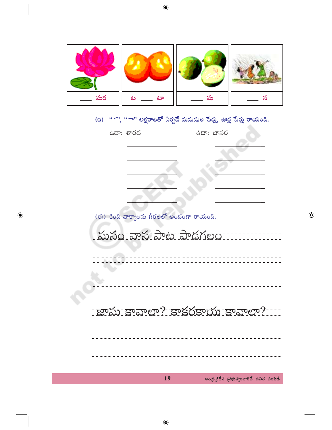

(ఇ) " ''', " ా" అక్షరాలతో ఏర్పడే మనుషుల పేర్లు, ఊర్ల పేర్లు రాయండి.

| ఉదా: శారద             | ఉదా: బాసర                           |
|-----------------------|-------------------------------------|
|                       |                                     |
|                       |                                     |
|                       |                                     |
|                       |                                     |
|                       |                                     |
| 9<br>$\triangleright$ | 64.66<br>$\mathcal{L}_{\pm}$<br>- 9 |

 $\bigoplus$ 



 $\bigoplus$ 

◈